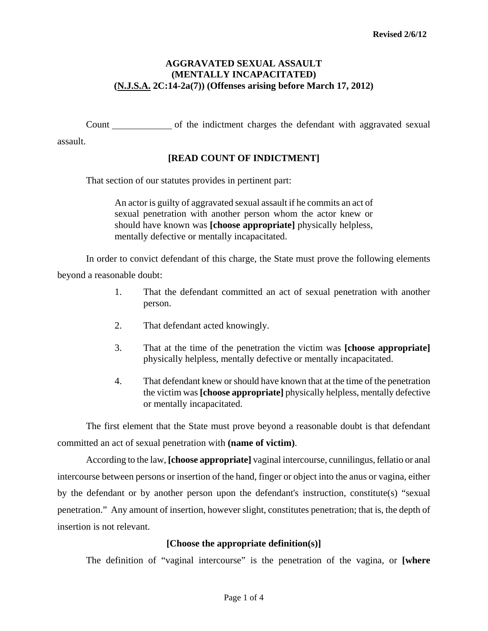### **AGGRAVATED SEXUAL ASSAULT (MENTALLY INCAPACITATED) (N.J.S.A. 2C:14-2a(7)) (Offenses arising before March 17, 2012)**

Count of the indictment charges the defendant with aggravated sexual

assault.

# **[READ COUNT OF INDICTMENT]**

That section of our statutes provides in pertinent part:

An actor is guilty of aggravated sexual assault if he commits an act of sexual penetration with another person whom the actor knew or should have known was **[choose appropriate]** physically helpless, mentally defective or mentally incapacitated.

In order to convict defendant of this charge, the State must prove the following elements beyond a reasonable doubt:

- 1. That the defendant committed an act of sexual penetration with another person.
- 2. That defendant acted knowingly.
- 3. That at the time of the penetration the victim was **[choose appropriate]** physically helpless, mentally defective or mentally incapacitated.
- 4. That defendant knew or should have known that at the time of the penetration the victim was **[choose appropriate]** physically helpless, mentally defective or mentally incapacitated.

The first element that the State must prove beyond a reasonable doubt is that defendant committed an act of sexual penetration with **(name of victim)**.

<span id="page-0-0"></span>According to the law, **[choose appropriate]** vaginal intercourse, cunnilingus, fellatio or anal intercourse between persons or insertion of the hand, finger or object into the anus or vagina, either by the defendant or by another person upon the defendant's instruction, constitute(s) "sexual penetration." Any amount of insertion, however slight, constitutes penetration; that is, the depth of insertion is not relevant.

# **[Choose the appropriate definition(s)]**

The definition of "vaginal intercourse" is the penetration of the vagina, or **[where**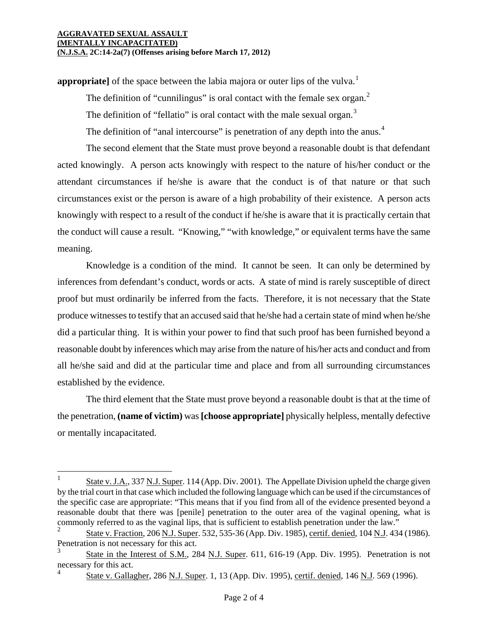i

**appropriate** of the space between the labia majora or outer lips of the vulva.<sup>[1](#page-0-0)</sup>

The definition of "cunnilingus" is oral contact with the female sex organ.<sup>[2](#page-1-0)</sup>

The definition of "fellatio" is oral contact with the male sexual organ. $3$ 

The definition of "anal intercourse" is penetration of any depth into the anus.<sup>[4](#page-1-2)</sup>

The second element that the State must prove beyond a reasonable doubt is that defendant acted knowingly. A person acts knowingly with respect to the nature of his/her conduct or the attendant circumstances if he/she is aware that the conduct is of that nature or that such circumstances exist or the person is aware of a high probability of their existence. A person acts knowingly with respect to a result of the conduct if he/she is aware that it is practically certain that the conduct will cause a result. "Knowing," "with knowledge," or equivalent terms have the same meaning.

Knowledge is a condition of the mind. It cannot be seen. It can only be determined by inferences from defendant's conduct, words or acts. A state of mind is rarely susceptible of direct proof but must ordinarily be inferred from the facts. Therefore, it is not necessary that the State produce witnesses to testify that an accused said that he/she had a certain state of mind when he/she did a particular thing. It is within your power to find that such proof has been furnished beyond a reasonable doubt by inferences which may arise from the nature of his/her acts and conduct and from all he/she said and did at the particular time and place and from all surrounding circumstances established by the evidence.

The third element that the State must prove beyond a reasonable doubt is that at the time of the penetration, **(name of victim)** was **[choose appropriate]** physically helpless, mentally defective or mentally incapacitated.

<sup>1</sup> State v. J.A., 337 N.J. Super. 114 (App. Div. 2001). The Appellate Division upheld the charge given by the trial court in that case which included the following language which can be used if the circumstances of the specific case are appropriate: "This means that if you find from all of the evidence presented beyond a reasonable doubt that there was [penile] penetration to the outer area of the vaginal opening, what is commonly referred to as the vaginal lips, that is sufficient to establish penetration under the law."

<span id="page-1-0"></span><sup>2</sup> State v. Fraction, 206 N.J. Super. 532, 535-36 (App. Div. 1985), certif. denied, 104 N.J. 434 (1986). Penetration is not necessary for this act.

<span id="page-1-3"></span><span id="page-1-2"></span><span id="page-1-1"></span><sup>3</sup> State in the Interest of S.M., 284 N.J. Super. 611, 616-19 (App. Div. 1995). Penetration is not necessary for this act. 4

State v. Gallagher, 286 N.J. Super. 1, 13 (App. Div. 1995), certif. denied, 146 N.J. 569 (1996).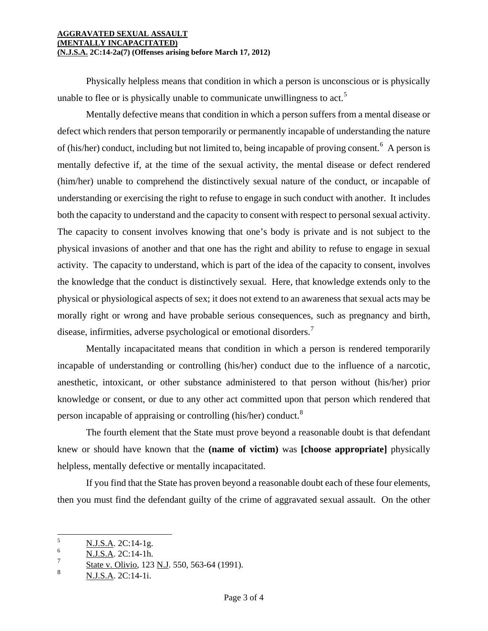#### **AGGRAVATED SEXUAL ASSAULT (MENTALLY INCAPACITATED) (N.J.S.A. 2C:14-2a(7) (Offenses arising before March 17, 2012)**

Physically helpless means that condition in which a person is unconscious or is physically unable to flee or is physically unable to communicate unwillingness to act.<sup>[5](#page-1-3)</sup>

Mentally defective means that condition in which a person suffers from a mental disease or defect which renders that person temporarily or permanently incapable of understanding the nature of (his/her) conduct, including but not limited to, being incapable of proving consent.<sup>[6](#page-2-0)</sup> A person is mentally defective if, at the time of the sexual activity, the mental disease or defect rendered (him/her) unable to comprehend the distinctively sexual nature of the conduct, or incapable of understanding or exercising the right to refuse to engage in such conduct with another. It includes both the capacity to understand and the capacity to consent with respect to personal sexual activity. The capacity to consent involves knowing that one's body is private and is not subject to the physical invasions of another and that one has the right and ability to refuse to engage in sexual activity. The capacity to understand, which is part of the idea of the capacity to consent, involves the knowledge that the conduct is distinctively sexual. Here, that knowledge extends only to the physical or physiological aspects of sex; it does not extend to an awareness that sexual acts may be morally right or wrong and have probable serious consequences, such as pregnancy and birth, disease, infirmities, adverse psychological or emotional disorders.<sup>[7](#page-2-1)</sup>

Mentally incapacitated means that condition in which a person is rendered temporarily incapable of understanding or controlling (his/her) conduct due to the influence of a narcotic, anesthetic, intoxicant, or other substance administered to that person without (his/her) prior knowledge or consent, or due to any other act committed upon that person which rendered that person incapable of appraising or controlling (his/her) conduct.<sup>[8](#page-2-2)</sup>

The fourth element that the State must prove beyond a reasonable doubt is that defendant knew or should have known that the **(name of victim)** was **[choose appropriate]** physically helpless, mentally defective or mentally incapacitated.

If you find that the State has proven beyond a reasonable doubt each of these four elements, then you must find the defendant guilty of the crime of aggravated sexual assault. On the other

<sup>5</sup>  $\frac{5}{6}$  N.J.S.A. 2C:14-1g.

<span id="page-2-0"></span> $\frac{6}{7}$  N.J.S.A. 2C:14-1h.

<span id="page-2-1"></span> $\frac{5 \text{tate v. Olivio}}{8}$ ,  $\frac{550, 563-64}{115, 42 \text{ C}14, 11}$ 

<span id="page-2-2"></span><sup>8</sup> N.J.S.A. 2C:14-1i.